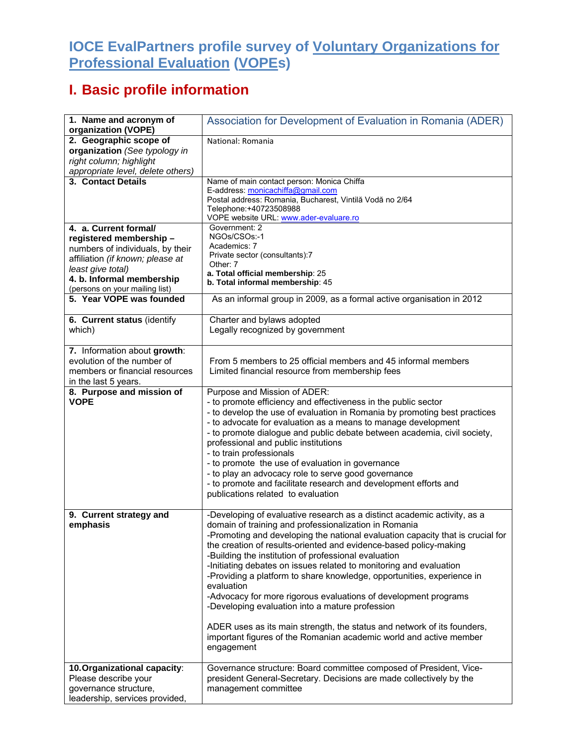## **IOCE EvalPartners profile survey of Voluntary Organizations for Professional Evaluation (VOPEs)**

## **I. Basic profile information**

| 1. Name and acronym of<br>organization (VOPE)                                                                                                    | Association for Development of Evaluation in Romania (ADER)                                                                                                                                                                                                                                                                                                                                                                                                                                                                                                                                                                                                                                                                                                                                         |
|--------------------------------------------------------------------------------------------------------------------------------------------------|-----------------------------------------------------------------------------------------------------------------------------------------------------------------------------------------------------------------------------------------------------------------------------------------------------------------------------------------------------------------------------------------------------------------------------------------------------------------------------------------------------------------------------------------------------------------------------------------------------------------------------------------------------------------------------------------------------------------------------------------------------------------------------------------------------|
| 2. Geographic scope of<br>organization (See typology in<br>right column; highlight                                                               | National: Romania                                                                                                                                                                                                                                                                                                                                                                                                                                                                                                                                                                                                                                                                                                                                                                                   |
| appropriate level, delete others)<br>3. Contact Details                                                                                          | Name of main contact person: Monica Chiffa                                                                                                                                                                                                                                                                                                                                                                                                                                                                                                                                                                                                                                                                                                                                                          |
|                                                                                                                                                  | E-address: monicachiffa@gmail.com<br>Postal address: Romania, Bucharest, Vintilă Vodă no 2/64<br>Telephone: +40723508988<br>VOPE website URL: www.ader-evaluare.ro                                                                                                                                                                                                                                                                                                                                                                                                                                                                                                                                                                                                                                  |
| 4. a. Current formal/                                                                                                                            | Government: 2                                                                                                                                                                                                                                                                                                                                                                                                                                                                                                                                                                                                                                                                                                                                                                                       |
| registered membership-<br>numbers of individuals, by their<br>affiliation (if known; please at<br>least give total)<br>4. b. Informal membership | NGOs/CSOs:-1<br>Academics: 7<br>Private sector (consultants):7<br>Other: 7<br>a. Total official membership: 25                                                                                                                                                                                                                                                                                                                                                                                                                                                                                                                                                                                                                                                                                      |
| (persons on your mailing list)                                                                                                                   | b. Total informal membership: 45                                                                                                                                                                                                                                                                                                                                                                                                                                                                                                                                                                                                                                                                                                                                                                    |
| 5. Year VOPE was founded                                                                                                                         | As an informal group in 2009, as a formal active organisation in 2012                                                                                                                                                                                                                                                                                                                                                                                                                                                                                                                                                                                                                                                                                                                               |
| 6. Current status (identify<br>which)                                                                                                            | Charter and bylaws adopted<br>Legally recognized by government                                                                                                                                                                                                                                                                                                                                                                                                                                                                                                                                                                                                                                                                                                                                      |
| 7. Information about growth:<br>evolution of the number of<br>members or financial resources<br>in the last 5 years.                             | From 5 members to 25 official members and 45 informal members<br>Limited financial resource from membership fees                                                                                                                                                                                                                                                                                                                                                                                                                                                                                                                                                                                                                                                                                    |
| 8. Purpose and mission of<br><b>VOPE</b>                                                                                                         | Purpose and Mission of ADER:<br>- to promote efficiency and effectiveness in the public sector<br>- to develop the use of evaluation in Romania by promoting best practices<br>- to advocate for evaluation as a means to manage development<br>- to promote dialogue and public debate between academia, civil society,<br>professional and public institutions<br>- to train professionals<br>- to promote the use of evaluation in governance<br>- to play an advocacy role to serve good governance<br>- to promote and facilitate research and development efforts and<br>publications related to evaluation                                                                                                                                                                                   |
| 9. Current strategy and<br>emphasis                                                                                                              | -Developing of evaluative research as a distinct academic activity, as a<br>domain of training and professionalization in Romania<br>-Promoting and developing the national evaluation capacity that is crucial for<br>the creation of results-oriented and evidence-based policy-making<br>-Building the institution of professional evaluation<br>-Initiating debates on issues related to monitoring and evaluation<br>-Providing a platform to share knowledge, opportunities, experience in<br>evaluation<br>-Advocacy for more rigorous evaluations of development programs<br>-Developing evaluation into a mature profession<br>ADER uses as its main strength, the status and network of its founders,<br>important figures of the Romanian academic world and active member<br>engagement |
| 10. Organizational capacity:<br>Please describe your<br>governance structure,<br>leadership, services provided,                                  | Governance structure: Board committee composed of President, Vice-<br>president General-Secretary. Decisions are made collectively by the<br>management committee                                                                                                                                                                                                                                                                                                                                                                                                                                                                                                                                                                                                                                   |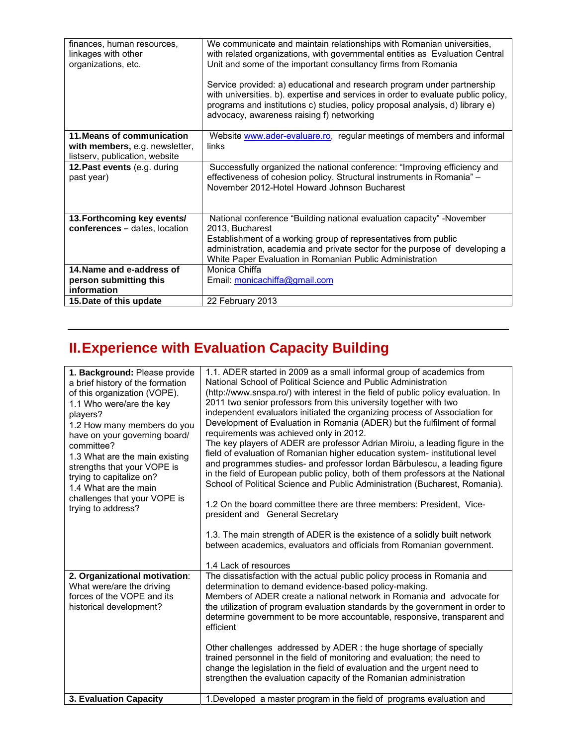| finances, human resources,<br>linkages with other<br>organizations, etc. | We communicate and maintain relationships with Romanian universities,<br>with related organizations, with governmental entities as Evaluation Central<br>Unit and some of the important consultancy firms from Romania<br>Service provided: a) educational and research program under partnership<br>with universities. b). expertise and services in order to evaluate public policy,<br>programs and institutions c) studies, policy proposal analysis, d) library e)<br>advocacy, awareness raising f) networking |
|--------------------------------------------------------------------------|----------------------------------------------------------------------------------------------------------------------------------------------------------------------------------------------------------------------------------------------------------------------------------------------------------------------------------------------------------------------------------------------------------------------------------------------------------------------------------------------------------------------|
| 11. Means of communication                                               | Website www.ader-evaluare.ro, regular meetings of members and informal                                                                                                                                                                                                                                                                                                                                                                                                                                               |
| with members, e.g. newsletter,                                           | links                                                                                                                                                                                                                                                                                                                                                                                                                                                                                                                |
| listserv, publication, website                                           |                                                                                                                                                                                                                                                                                                                                                                                                                                                                                                                      |
| 12. Past events (e.g. during                                             | Successfully organized the national conference: "Improving efficiency and                                                                                                                                                                                                                                                                                                                                                                                                                                            |
| past year)                                                               | effectiveness of cohesion policy. Structural instruments in Romania" -<br>November 2012-Hotel Howard Johnson Bucharest                                                                                                                                                                                                                                                                                                                                                                                               |
|                                                                          |                                                                                                                                                                                                                                                                                                                                                                                                                                                                                                                      |
|                                                                          |                                                                                                                                                                                                                                                                                                                                                                                                                                                                                                                      |
| 13. Forthcoming key events/                                              | National conference "Building national evaluation capacity" -November                                                                                                                                                                                                                                                                                                                                                                                                                                                |
| conferences - dates, location                                            | 2013, Bucharest                                                                                                                                                                                                                                                                                                                                                                                                                                                                                                      |
|                                                                          | Establishment of a working group of representatives from public                                                                                                                                                                                                                                                                                                                                                                                                                                                      |
|                                                                          | administration, academia and private sector for the purpose of developing a                                                                                                                                                                                                                                                                                                                                                                                                                                          |
|                                                                          | White Paper Evaluation in Romanian Public Administration                                                                                                                                                                                                                                                                                                                                                                                                                                                             |
| 14. Name and e-address of                                                | Monica Chiffa                                                                                                                                                                                                                                                                                                                                                                                                                                                                                                        |
| person submitting this                                                   | Email: monicachiffa@gmail.com                                                                                                                                                                                                                                                                                                                                                                                                                                                                                        |
| information                                                              |                                                                                                                                                                                                                                                                                                                                                                                                                                                                                                                      |
| 15. Date of this update                                                  | 22 February 2013                                                                                                                                                                                                                                                                                                                                                                                                                                                                                                     |

## **II. Experience with Evaluation Capacity Building**

| 1. Background: Please provide<br>a brief history of the formation<br>of this organization (VOPE).<br>1.1 Who were/are the key<br>players?<br>1.2 How many members do you<br>have on your governing board/<br>committee?<br>1.3 What are the main existing<br>strengths that your VOPE is<br>trying to capitalize on?<br>1.4 What are the main<br>challenges that your VOPE is<br>trying to address? | 1.1. ADER started in 2009 as a small informal group of academics from<br>National School of Political Science and Public Administration<br>(http://www.snspa.ro/) with interest in the field of public policy evaluation. In<br>2011 two senior professors from this university together with two<br>independent evaluators initiated the organizing process of Association for<br>Development of Evaluation in Romania (ADER) but the fulfilment of formal<br>requirements was achieved only in 2012.<br>The key players of ADER are professor Adrian Miroiu, a leading figure in the<br>field of evaluation of Romanian higher education system- institutional level<br>and programmes studies- and professor lordan Bărbulescu, a leading figure<br>in the field of European public policy, both of them professors at the National<br>School of Political Science and Public Administration (Bucharest, Romania).<br>1.2 On the board committee there are three members: President, Vice-<br>president and General Secretary<br>1.3. The main strength of ADER is the existence of a solidly built network<br>between academics, evaluators and officials from Romanian government.<br>1.4 Lack of resources |
|-----------------------------------------------------------------------------------------------------------------------------------------------------------------------------------------------------------------------------------------------------------------------------------------------------------------------------------------------------------------------------------------------------|------------------------------------------------------------------------------------------------------------------------------------------------------------------------------------------------------------------------------------------------------------------------------------------------------------------------------------------------------------------------------------------------------------------------------------------------------------------------------------------------------------------------------------------------------------------------------------------------------------------------------------------------------------------------------------------------------------------------------------------------------------------------------------------------------------------------------------------------------------------------------------------------------------------------------------------------------------------------------------------------------------------------------------------------------------------------------------------------------------------------------------------------------------------------------------------------------------------|
| 2. Organizational motivation:<br>What were/are the driving<br>forces of the VOPE and its<br>historical development?                                                                                                                                                                                                                                                                                 | The dissatisfaction with the actual public policy process in Romania and<br>determination to demand evidence-based policy-making.<br>Members of ADER create a national network in Romania and advocate for<br>the utilization of program evaluation standards by the government in order to<br>determine government to be more accountable, responsive, transparent and<br>efficient<br>Other challenges addressed by ADER: the huge shortage of specially<br>trained personnel in the field of monitoring and evaluation; the need to<br>change the legislation in the field of evaluation and the urgent need to<br>strengthen the evaluation capacity of the Romanian administration                                                                                                                                                                                                                                                                                                                                                                                                                                                                                                                          |
| 3. Evaluation Capacity                                                                                                                                                                                                                                                                                                                                                                              | 1. Developed a master program in the field of programs evaluation and                                                                                                                                                                                                                                                                                                                                                                                                                                                                                                                                                                                                                                                                                                                                                                                                                                                                                                                                                                                                                                                                                                                                            |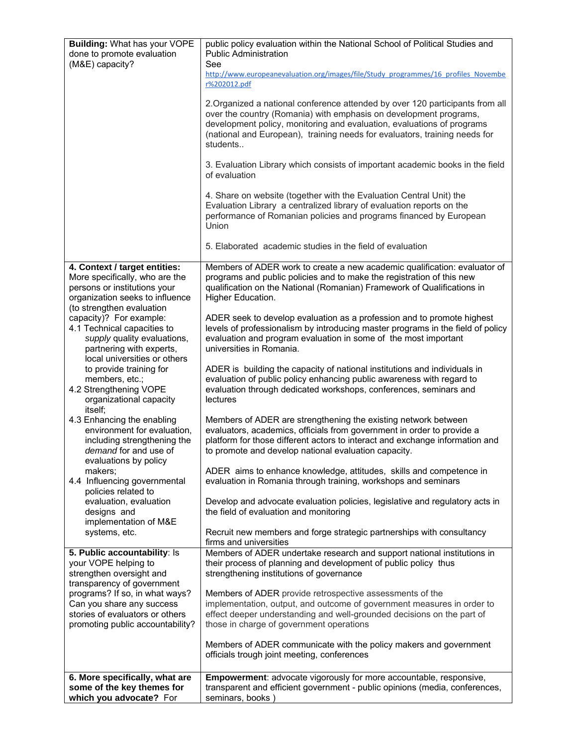| <b>Building: What has your VOPE</b>                                                                                                                             | public policy evaluation within the National School of Political Studies and                                                                                                                                                                                                                                           |
|-----------------------------------------------------------------------------------------------------------------------------------------------------------------|------------------------------------------------------------------------------------------------------------------------------------------------------------------------------------------------------------------------------------------------------------------------------------------------------------------------|
| done to promote evaluation<br>(M&E) capacity?                                                                                                                   | <b>Public Administration</b><br>See                                                                                                                                                                                                                                                                                    |
|                                                                                                                                                                 | http://www.europeanevaluation.org/images/file/Study_programmes/16_profiles_Novembe<br>r%202012.pdf                                                                                                                                                                                                                     |
|                                                                                                                                                                 | 2. Organized a national conference attended by over 120 participants from all<br>over the country (Romania) with emphasis on development programs,<br>development policy, monitoring and evaluation, evaluations of programs<br>(national and European), training needs for evaluators, training needs for<br>students |
|                                                                                                                                                                 | 3. Evaluation Library which consists of important academic books in the field<br>of evaluation                                                                                                                                                                                                                         |
|                                                                                                                                                                 | 4. Share on website (together with the Evaluation Central Unit) the<br>Evaluation Library a centralized library of evaluation reports on the<br>performance of Romanian policies and programs financed by European<br>Union                                                                                            |
|                                                                                                                                                                 | 5. Elaborated academic studies in the field of evaluation                                                                                                                                                                                                                                                              |
| 4. Context / target entities:<br>More specifically, who are the<br>persons or institutions your<br>organization seeks to influence<br>(to strengthen evaluation | Members of ADER work to create a new academic qualification: evaluator of<br>programs and public policies and to make the registration of this new<br>qualification on the National (Romanian) Framework of Qualifications in<br>Higher Education.                                                                     |
| capacity)? For example:<br>4.1 Technical capacities to<br>supply quality evaluations,<br>partnering with experts,<br>local universities or others               | ADER seek to develop evaluation as a profession and to promote highest<br>levels of professionalism by introducing master programs in the field of policy<br>evaluation and program evaluation in some of the most important<br>universities in Romania.                                                               |
| to provide training for<br>members, etc.;<br>4.2 Strengthening VOPE<br>organizational capacity                                                                  | ADER is building the capacity of national institutions and individuals in<br>evaluation of public policy enhancing public awareness with regard to<br>evaluation through dedicated workshops, conferences, seminars and<br>lectures                                                                                    |
| itself;<br>4.3 Enhancing the enabling<br>environment for evaluation,<br>including strengthening the<br>demand for and use of<br>evaluations by policy           | Members of ADER are strengthening the existing network between<br>evaluators, academics, officials from government in order to provide a<br>platform for those different actors to interact and exchange information and<br>to promote and develop national evaluation capacity.                                       |
| makers;<br>4.4 Influencing governmental<br>policies related to                                                                                                  | ADER aims to enhance knowledge, attitudes, skills and competence in<br>evaluation in Romania through training, workshops and seminars                                                                                                                                                                                  |
| evaluation, evaluation<br>designs and<br>implementation of M&E                                                                                                  | Develop and advocate evaluation policies, legislative and regulatory acts in<br>the field of evaluation and monitoring                                                                                                                                                                                                 |
| systems, etc.                                                                                                                                                   | Recruit new members and forge strategic partnerships with consultancy<br>firms and universities                                                                                                                                                                                                                        |
| 5. Public accountability: Is<br>your VOPE helping to<br>strengthen oversight and<br>transparency of government                                                  | Members of ADER undertake research and support national institutions in<br>their process of planning and development of public policy thus<br>strengthening institutions of governance                                                                                                                                 |
| programs? If so, in what ways?<br>Can you share any success<br>stories of evaluators or others<br>promoting public accountability?                              | Members of ADER provide retrospective assessments of the<br>implementation, output, and outcome of government measures in order to<br>effect deeper understanding and well-grounded decisions on the part of<br>those in charge of government operations                                                               |
|                                                                                                                                                                 | Members of ADER communicate with the policy makers and government<br>officials trough joint meeting, conferences                                                                                                                                                                                                       |
| 6. More specifically, what are<br>some of the key themes for<br>which you advocate? For                                                                         | Empowerment: advocate vigorously for more accountable, responsive,<br>transparent and efficient government - public opinions (media, conferences,<br>seminars, books)                                                                                                                                                  |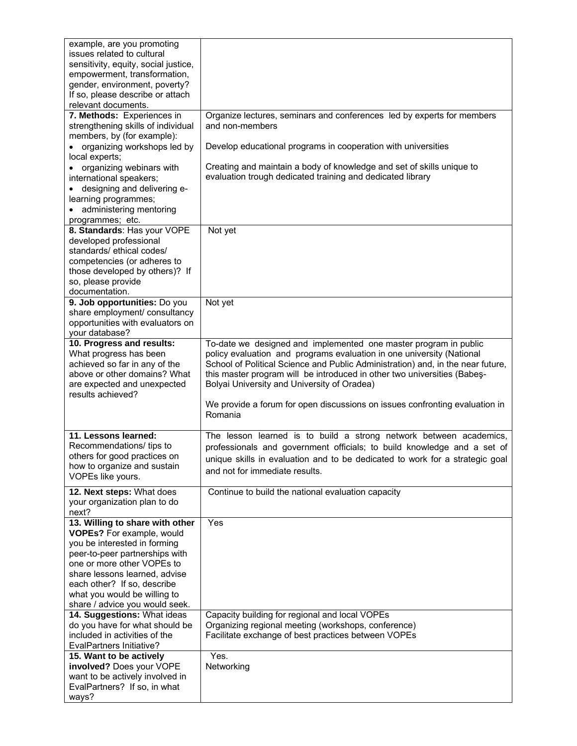| example, are you promoting<br>issues related to cultural<br>sensitivity, equity, social justice,<br>empowerment, transformation,                                                                                                                                                               |                                                                                                                                                                                                                                                                                                                                                         |
|------------------------------------------------------------------------------------------------------------------------------------------------------------------------------------------------------------------------------------------------------------------------------------------------|---------------------------------------------------------------------------------------------------------------------------------------------------------------------------------------------------------------------------------------------------------------------------------------------------------------------------------------------------------|
| gender, environment, poverty?<br>If so, please describe or attach<br>relevant documents.                                                                                                                                                                                                       |                                                                                                                                                                                                                                                                                                                                                         |
| 7. Methods: Experiences in                                                                                                                                                                                                                                                                     | Organize lectures, seminars and conferences led by experts for members                                                                                                                                                                                                                                                                                  |
| strengthening skills of individual<br>members, by (for example):<br>• organizing workshops led by                                                                                                                                                                                              | and non-members<br>Develop educational programs in cooperation with universities                                                                                                                                                                                                                                                                        |
| local experts;                                                                                                                                                                                                                                                                                 |                                                                                                                                                                                                                                                                                                                                                         |
| • organizing webinars with<br>international speakers;<br>• designing and delivering e-<br>learning programmes;                                                                                                                                                                                 | Creating and maintain a body of knowledge and set of skills unique to<br>evaluation trough dedicated training and dedicated library                                                                                                                                                                                                                     |
| administering mentoring<br>$\bullet$<br>programmes; etc.                                                                                                                                                                                                                                       |                                                                                                                                                                                                                                                                                                                                                         |
| 8. Standards: Has your VOPE<br>developed professional<br>standards/ethical codes/<br>competencies (or adheres to<br>those developed by others)? If<br>so, please provide<br>documentation.                                                                                                     | Not yet                                                                                                                                                                                                                                                                                                                                                 |
| 9. Job opportunities: Do you<br>share employment/ consultancy<br>opportunities with evaluators on<br>your database?                                                                                                                                                                            | Not yet                                                                                                                                                                                                                                                                                                                                                 |
| 10. Progress and results:<br>What progress has been<br>achieved so far in any of the<br>above or other domains? What<br>are expected and unexpected<br>results achieved?                                                                                                                       | To-date we designed and implemented one master program in public<br>policy evaluation and programs evaluation in one university (National<br>School of Political Science and Public Administration) and, in the near future,<br>this master program will be introduced in other two universities (Babes-<br>Bolyai University and University of Oradea) |
|                                                                                                                                                                                                                                                                                                | We provide a forum for open discussions on issues confronting evaluation in<br>Romania                                                                                                                                                                                                                                                                  |
| 11. Lessons learned:<br>Recommendations/ tips to<br>others for good practices on<br>how to organize and sustain<br>VOPEs like yours.                                                                                                                                                           | The lesson learned is to build a strong network between academics,<br>professionals and government officials; to build knowledge and a set of<br>unique skills in evaluation and to be dedicated to work for a strategic goal<br>and not for immediate results.                                                                                         |
| 12. Next steps: What does<br>your organization plan to do<br>next?                                                                                                                                                                                                                             | Continue to build the national evaluation capacity                                                                                                                                                                                                                                                                                                      |
| 13. Willing to share with other<br>VOPEs? For example, would<br>you be interested in forming<br>peer-to-peer partnerships with<br>one or more other VOPEs to<br>share lessons learned, advise<br>each other? If so, describe<br>what you would be willing to<br>share / advice you would seek. | Yes                                                                                                                                                                                                                                                                                                                                                     |
| 14. Suggestions: What ideas<br>do you have for what should be<br>included in activities of the<br>EvalPartners Initiative?                                                                                                                                                                     | Capacity building for regional and local VOPEs<br>Organizing regional meeting (workshops, conference)<br>Facilitate exchange of best practices between VOPEs                                                                                                                                                                                            |
| 15. Want to be actively<br>involved? Does your VOPE<br>want to be actively involved in<br>EvalPartners? If so, in what<br>ways?                                                                                                                                                                | Yes.<br>Networking                                                                                                                                                                                                                                                                                                                                      |